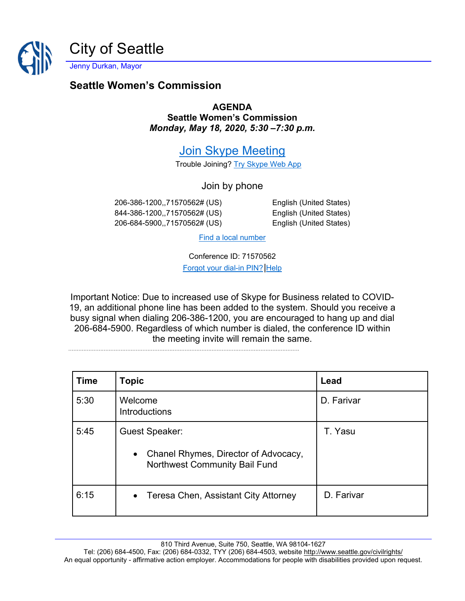

Jenny Durkan, Mayor

## **Seattle Women's Commission**

**AGENDA Seattle Women's Commission** *Monday, May 18, 2020, 5:30 –7:30 p.m.*

[Join Skype Meeting](https://meet.seattle.gov/marta.idowu/ZBT2H9GC)

Trouble Joining? [Try Skype Web App](https://meet.seattle.gov/marta.idowu/ZBT2H9GC?sl=1)

Join by phone

206-386-1200,,71570562# (US) English (United States) 844-386-1200,,71570562# (US) English (United States) 206-684-5900,,71570562# (US) English (United States)

[Find a local number](https://dialin.seattle.gov/?id=71570562)

Conference ID: 71570562

[Forgot your dial-in PIN?](https://dialin.seattle.gov/) Help

Important Notice: Due to increased use of Skype for Business related to COVID-19, an additional phone line has been added to the system. Should you receive a busy signal when dialing 206-386-1200, you are encouraged to hang up and dial 206-684-5900. Regardless of which number is dialed, the conference ID within the meeting invite will remain the same.

| <b>Time</b> | <b>Topic</b>                                                                                                       | Lead       |
|-------------|--------------------------------------------------------------------------------------------------------------------|------------|
| 5:30        | Welcome<br><b>Introductions</b>                                                                                    | D. Farivar |
| 5:45        | <b>Guest Speaker:</b><br>Chanel Rhymes, Director of Advocacy,<br>$\bullet$<br><b>Northwest Community Bail Fund</b> | T. Yasu    |
| 6:15        | • Teresa Chen, Assistant City Attorney                                                                             | D. Farivar |

.........................................................................................................................................

810 Third Avenue, Suite 750, Seattle, WA 98104-1627

Tel: (206) 684-4500, Fax: (206) 684-0332, TYY (206) 684-4503, website<http://www.seattle.gov/civilrights/> An equal opportunity - affirmative action employer. Accommodations for people with disabilities provided upon request.